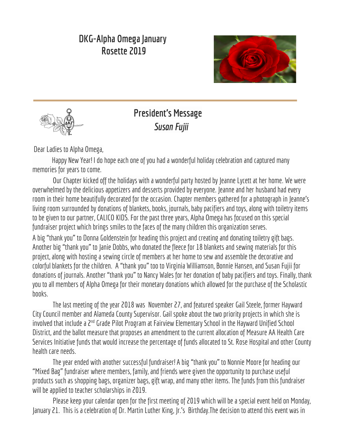## **DKG-Alpha Omega January Rosette 2019**





# **President's Message Susan Fujii**

Dear Ladies to Alpha Omega,

Happy New Year! I do hope each one of you had a wonderful holiday celebration and captured many memories for years to come.

Our Chapter kicked off the holidays with a wonderful party hosted by Jeanne Lycett at her home. We were overwhelmed by the delicious appetizers and desserts provided by everyone. Jeanne and her husband had every room in their home beautifully decorated for the occasion. Chapter members gathered for a photograph in Jeanne's living room surrounded by donations of blankets, books, journals, baby pacifiers and toys, along with toiletry items to be given to our partner, CALICO KIDS. For the past three years, Alpha Omega has focused on this special fundraiser project which brings smiles to the faces of the many children this organization serves.

A big "thank you" to Donna Goldenstein for heading this project and creating and donating toiletry gift bags. Another big"thank you" to Janie Dobbs, who donated the fleece for 18 blankets and sewing materials for this project, along with hosting a sewing circle of members at her home to sew and assemble the decorative and colorful blankets for the children. A "thank you" too to Virginia Williamson, Bonnie Hansen, and Susan Fujii for donations of journals. Another "thank you" to Nancy Wales forher donationof babypacifiers and toys. Finally, thank you to all members of Alpha Omega for their monetary donations which allowed for the purchase of the Scholastic books.

The last meeting of the year 2018 was November 27, and featured speaker Gail Steele, former Hayward City Council member and Alameda County Supervisor. Gail spoke about the two priority projects in which she is involved that include a 2<sup>nd</sup> Grade Pilot Program at Fairview Elementary School in the Hayward Unified School District, and the ballot measure that proposes an amendment to the current allocation of Measure AA Health Care Services Initiative funds that would increase the percentage of funds allocated to St. Rose Hospital and other County health care needs.

The year ended with another successful fundraiser! A big "thank you" to Nonnie Moore for heading our "Mixed Bag" fundraiser where members, family, and friends were given the opportunity to purchase useful products such as shopping bags, organizer bags, gift wrap, and many other items. The funds from this fundraiser will be applied to teacher scholarships in 2019.

Please keep your calendar open for the first meeting of 2019 which will be a special event held on Monday, January 21. This is a celebration of Dr. Martin Luther King, Jr.'s Birthday.The decision to attend this event was in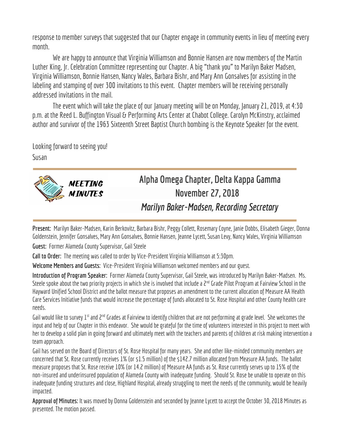response to member surveys that suggested that our Chapter engage in community events in lieu of meeting every month.

We are happy to announce that Virginia Williamson and Bonnie Hansen are now members of the Martin Luther King, Jr. Celebration Committee representing our Chapter. A big "thank you" to Marilyn Baker Madsen, Virginia Williamson, Bonnie Hansen, Nancy Wales, Barbara Bishr, and Mary Ann Gonsalves for assisting in the labeling and stamping of over 300 invitations to this event. Chapter members will be receiving personally addressed invitations inthe mail.

The event which will take the place of our January meeting will be on Monday, January 21, 2019, at 4:30 p.m. at the Reed L. Buffington Visual & Performing Arts Center at Chabot College. Carolyn McKinstry, acclaimed author and survivor of the 1963 Sixteenth Street Baptist Church bombing is the Keynote Speaker for the event.

Looking forward to seeing you!

Susan



# **Alpha Omega Chapter, Delta Kappa Gamma November 27, 2018** *Marilyn Baker-Madsen, RecordingSecretary*

**Present:** Marilyn Baker-Madsen, Karin Berkovitz, Barbara Bishr, Peggy Collett, Rosemary Coyne, Janie Dobbs,Elisabeth Gieger, Donna Goldenstein, Jennifer Gonsalves, Mary Ann Gonsalves, Bonnie Hansen, Jeanne Lycett, Susan Levy, Nancy Wales, Virginia Williamson

**Guest: Former Alameda County Supervisor, Gail Steele** 

**Call to Order:** The meeting was called to order by Vice-President Virginia Williamsonat 5:30pm.

**Welcome Members and Guests:** Vice-President Virginia Williamson welcomed members and ourguest.

Introduction of Program Speaker: Former Alameda County Supervisor, Gail Steele, was introduced by Marilyn Baker-Madsen. Ms. Steele spoke about the two priority projects in which she is involved that include a 2<sup>nd</sup> Grade Pilot Program at Fairview School in the Hayward Unified School District and the ballot measure that proposes an amendment to the current allocation of Measure AA Health Care Services Initiative funds that would increase the percentage of funds allocated to St. Rose Hospital and other County health care needs.

Gail would like to survey 1<sup>st</sup> and 2<sup>nd</sup> Grades at Fairview to identify children that are not performing at grade level. She welcomes the input and help of our Chapter in this endeavor. She would be grateful for the time of volunteers interested in this project to meet with her to develop a solid plan in going forward and ultimately meet with the teachers and parents of children at risk making intervention a team approach.

Gail has served on the Board of Directors of St. Rose Hospital for many years. She and other like-minded community members are concerned that St. Rose currently receives 1% (or \$1.5 million) of the \$142.7 million allocated from Measure AA funds. The ballot measure proposes that St. Rose receive 10% (or 14.2 million) of Measure AA funds as St. Rose currently serves up to 15% of the non-insured and underinsured population of Alameda County with inadequate funding. Should St. Rose be unable to operate on this inadequate funding structures and close, Highland Hospital, already struggling to meet the needs of the community, would be heavily impacted.

**Approvalof Minutes:** It was moved by Donna Goldensteinand seconded by Jeanne Lycett to accept the October 30, 2018 Minutes as presented. The motion passed.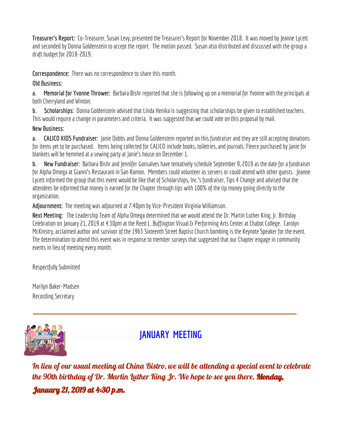**Treasurer's Report:** Co-Treasurer, Susan Levy, presented the Treasurer's Report for November 2018. It was moved by Jeanne Lycett and seconded by Donna Goldenstein to accept the report. The motion passed. Susan also distributed and discussed with the group a draft budget for 2018-2019.

**Correspondence:** There was no correspondence to share this month.

#### **Old Business:**

**a.** Memorial for Yvonne Thrower: Barbara Bishr reported that she is following up on a memorial for Yvonne with the principals at both Cherryland and Winton.

**b. Scholarships:** Donna Goldenstein advised that Linda Henika is suggesting that scholarships be given to established teachers. This would require a change in parameters and criteria. It was suggested that we could vote on this proposal by mail.

#### **New Business:**

**a. CALICO KIDS Fundraiser:** Janie Dobbs and Donna Goldenstein reported on this fundraiser and they are still accepting donations for items yet to be purchased. Items being collected for CALICO include books, toiletries, and journals. Fleece purchased by Janie for blankets will be hemmed at a sewing party at Janie's house on December 1.

**b.** New Fundraiser: Barbara Bishr and Jennifer Gonsalves have tentatively schedule September 9, 2019 as the date for a fundraiser for Alpha Omega at Gianni's Restaurant in San Ramon. Members could volunteer as servers or could attend with other guests. Jeanne Lycett informed the group that this event would be like that of Scholarships, Inc.'s fundraiser, Tips 4 Change and advised that the attendees be informed that money is earned for the Chapter through tips with 100% of the tip money going directly to the organization.

**Adjournment:** The meeting was adjourned at 7:40pm by Vice-President Virginia Williamson.

Next Meeting: The Leadership Team of Alpha Omega determined that we would attend the Dr. Martin Luther King, Ir. Birthday Celebration on January 21, 2019 at 4:30pm at the Reed L. Buffington Visual & Performing Arts Center at Chabot College. Carolyn McKinstry, acclaimed author and survivor of the 1963 Sixteenth Street Baptist Church bombing is the Keynote Speaker for the event. The determination to attend this event was in response to member surveys that suggested that our Chapter engage in community events in lieu of meeting every month.

Respectfully Submitted

Marilyn Baker-Madsen Recording Secretary



## **JANUARY MEETING**

In lieu of our usual meeting at China Bistro, we will be attending a special event to celebrate the 90th birthday of Dr. Martin Luther King Jr. We hope to see you there, **Monday,** January 21, 2019 at 4:30 p.m.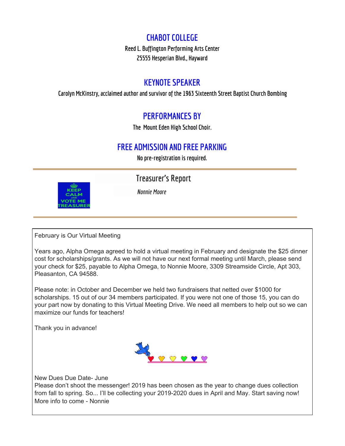#### **CHABOT COLLEGE**

**Reed L. Buffington Performing Arts Center 25555 Hesperian Blvd., Hayward**

#### **KEYNOTE SPEAKER**

**Carolyn McKinstry, acclaimed author and survivorof the 1963 Sixteenth Street Baptist Church Bombing**

### **PERFORMANCES BY**

**The Mount Eden High School Choir.**

#### **FREE ADMISSION AND FREE PARKING**

**No pre-registration is required.**



**Treasurer's Report** *Nonnie Moore*

February is Our Virtual Meeting

Years ago, Alpha Omega agreed to hold a virtual meeting in February and designate the \$25 dinner cost for scholarships/grants. As we will not have our next formal meeting until March, please send your check for \$25, payable to Alpha Omega, to Nonnie Moore, 3309 Streamside Circle, Apt 303, Pleasanton, CA 94588.

Please note: in October and December we held two fundraisers that netted over \$1000 for scholarships. 15 out of our 34 members participated. If you were not one of those 15, you can do your part now by donating to this Virtual Meeting Drive. We need all members to help out so we can maximize our funds for teachers!

Thank you in advance!



New Dues Due Date- June Please don't shoot the messenger! 2019 has been chosen as the year to change dues collection from fall to spring. So... I'll be collecting your 2019-2020 dues in April and May. Start saving now! More info to come - Nonnie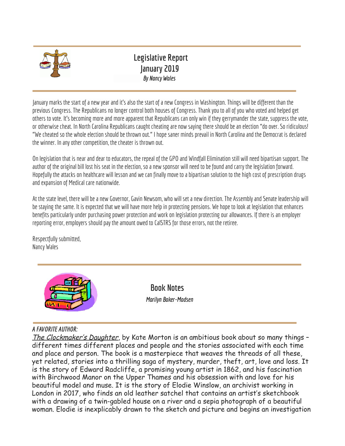

### **Legislative Report January 2019** *By Nancy Wales*

January marks the start of a new year and it's also the start of a new Congress in Washington. Things will be different than the previous Congress. The Republicans no longer control both houses of Congress. Thank you to all of you who voted and helped get others to vote. It's becoming more and more apparent that Republicans canonly winif theygerrymander the state, suppress the vote, or otherwise cheat. In North Carolina Republicans caught cheating are now saying there should be an election "do over. So ridiculous! "We cheated so the whole election should be thrown out." I hope saner minds prevail in North Carolina and the Democrat is declared the winner. In any other competition, the cheater is thrown out.

On legislation that is near and dear to educators, the repeal of the GPO and Windfall Elimination still will need bipartisan support. The author of the original bill lost his seat in the election, so a new sponsor will need to be found and carry the legislation forward. Hopefully the attacks on healthcare will lesson and we can finally move to a bipartisan solution to the high cost of prescription drugs and expansion of Medical care nationwide.

At the state level, there will be a new Governor, Gavin Newsom, who will set a new direction. The Assembly and Senate leadership will be staying the same. It is expected that we will have more help in protecting pensions. We hope to look at legislation that enhances benefits particularly under purchasing power protection and work on legislation protecting our allowances. If there is an employer reporting error, employers should pay the amount owed to CalSTRS for those errors, not the retiree.

Respectfully submitted, Nancy Wales



**Book Notes** *Marilyn Baker-Madsen*

#### *A FAVORITE AUTHOR:*

The Clockmaker's Daughter, by Kate Morton is an ambitious book about so many things different times different places and people and the stories associated with each time and place and person. The book is a masterpiece that weaves the threads of all these, yet related, stories into a thrilling saga of mystery, murder, theft, art, love and loss. It is the story of Edward Radcliffe, a promising young artist in 1862, and his fascination with Birchwood Manor on the Upper Thames and his obsession with and love for his beautiful model and muse. It is the story of Elodie Winslow, an archivist working in London in 2017, who finds an old leather satchel that contains an artist's sketchbook with a drawing of a twin-gabled house on a river and a sepia photograph of a beautiful woman. Elodie is inexplicably drawn to the sketch and picture and begins an investigation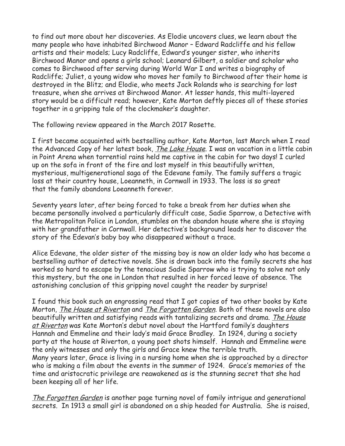to find out more about her discoveries. As Elodie uncovers clues, we learn about the many people who have inhabited Birchwood Manor – Edward Radcliffe and his fellow artists and their models; Lucy Radcliffe, Edward's younger sister, who inherits Birchwood Manor and opens a girls school; Leonard Gilbert, a soldier and scholar who comes to Birchwood after serving during World War I and writes a biography of Radcliffe; Juliet, a young widow who moves her family to Birchwood after their home is destroyed in the Blitz; and Elodie, who meets Jack Rolands who is searching for lost treasure, when she arrives at Birchwood Manor. At lesser hands, this multi-layered story would be a difficult read; however, Kate Morton deftly pieces all of these stories together in a gripping tale of the clockmaker's daughter.

The following review appeared in the March 2017 Rosette.

I first became acquainted with bestselling author, Kate Morton, last March when I read the Advanced Copy of her latest book, The Lake House. I was on vacation in a little cabin in Point Arena when torrential rains held me captive in the cabin for two days! I curled up on the sofa in front of the fire and lost myself in this beautifully written, mysterious, multigenerational saga of the Edevane family. The family suffers a tragic loss at their country house, Loeanneth, in Cornwall in 1933. The loss is so great that the family abandons Loeanneth forever.

Seventy years later, after being forced to take a break from her duties when she became personally involved a particularly difficult case, Sadie Sparrow, a Detective with the Metropolitan Police in London, stumbles on the abandon house where she is staying with her grandfather in Cornwall. Her detective's background leads her to discover the story of the Edevan's baby boy who disappeared without a trace.

Alice Edevane, the older sister of the missing boy is now an older lady who has become a bestselling author of detective novels. She is drawn back into the family secrets she has worked so hard to escape by the tenacious Sadie Sparrow who is trying to solve not only this mystery, but the one in London that resulted in her forced leave of absence. The astonishing conclusion of this gripping novel caught the reader by surprise!

I found this book such an engrossing read that I got copies of two other books by Kate Morton, <u>The House at Riverton</u> and <u>The Forgotten Garden</u>. Both of these novels are also beautifully written and satisfying reads with tantalizing secrets and drama. The House at Riverton was Kate Morton's debut novel about the Hartford family's daughters Hannah and Emmeline and their lady's maid Grace Bradley. In 1924, during a society party at the house at Riverton, a young poet shots himself. Hannah and Emmeline were the only witnesses and only the girls and Grace knew the terrible truth. Many years later, Grace is living in a nursing home when she is approached by a director who is making a film about the events in the summer of 1924. Grace's memories of the time and aristocratic privilege are reawakened as is the stunning secret that she had been keeping all of her life.

The Forgotten Garden is another page turning novel of family intrigue and generational secrets. In 1913 a small girl is abandoned on a ship headed for Australia. She is raised,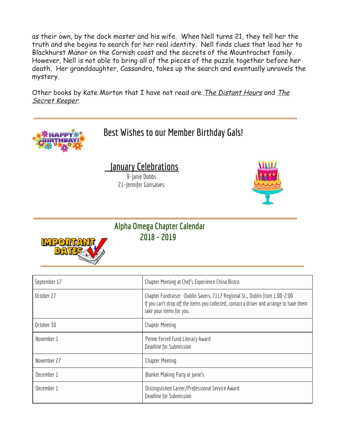as their own, by the dock master and his wife. When Nell turns 21, they tell her the truth and she begins to search for her real identity. Nell finds clues that lead her to Blackhurst Manor on the Cornish coast and the secrets of the Mountrachet family. However, Nell is not able to bring all of the pieces of the puzzle together before her death. Her granddaughter, Cassandra, takes up the search and eventually unravels the mystery.

Other books by Kate Morton that I have not read are *The Distant Hours* and *The* Secret Keeper.



| <b>JCPICIIIDCI II</b> | Chapter Ficturity at City 3 Experience China District                                                                                                                                                |
|-----------------------|------------------------------------------------------------------------------------------------------------------------------------------------------------------------------------------------------|
| October 27            | Chapter Fundraiser -Dublin Savers, 7117 Regional St.,, Dublin from 1:00-2:00<br>If you can't drop off the items you collected, contact a driver and arrange to have them<br>take your items for you. |
| October 30            | <b>Chapter Meeting</b>                                                                                                                                                                               |
| November 1            | Penne Ferrell Fund Literacy Award<br>Deadline for Submission                                                                                                                                         |
| November 27           | <b>Chapter Meeting</b>                                                                                                                                                                               |
| December 1            | Blanket Making Party at Janie's                                                                                                                                                                      |
| December 1            | Distinguished Career/Professional Service Award<br>Deadline for Submission                                                                                                                           |